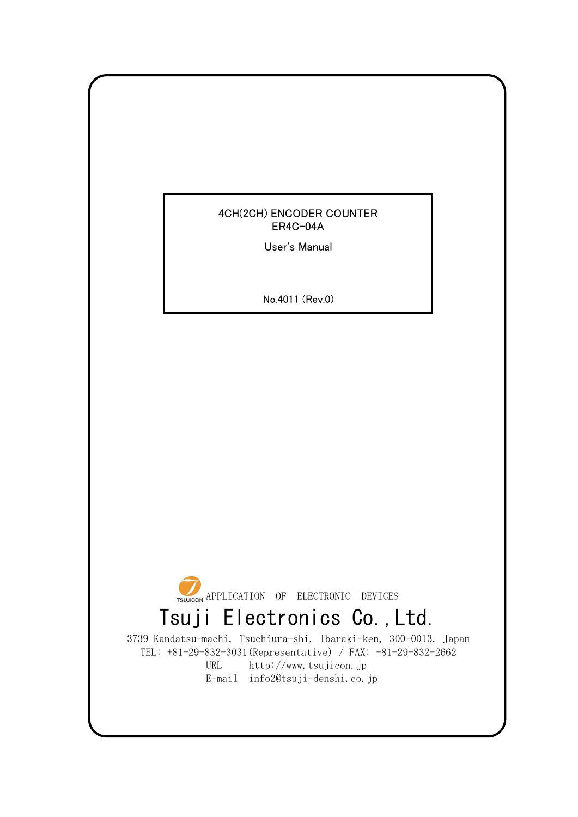## 4CH(2CH) ENCODER COUNTER ER4C-04A

User's Manual

No.4011 (Rev.0)



3739 Kandatsu-machi, Tsuchiura-shi, Ibaraki-ken, 300-0013, Japan TEL: +81-29-832-3031(Representative) / FAX: +81-29-832-2662 URL http://www.tsujicon.jp E-mail info2@tsuji-denshi.co.jp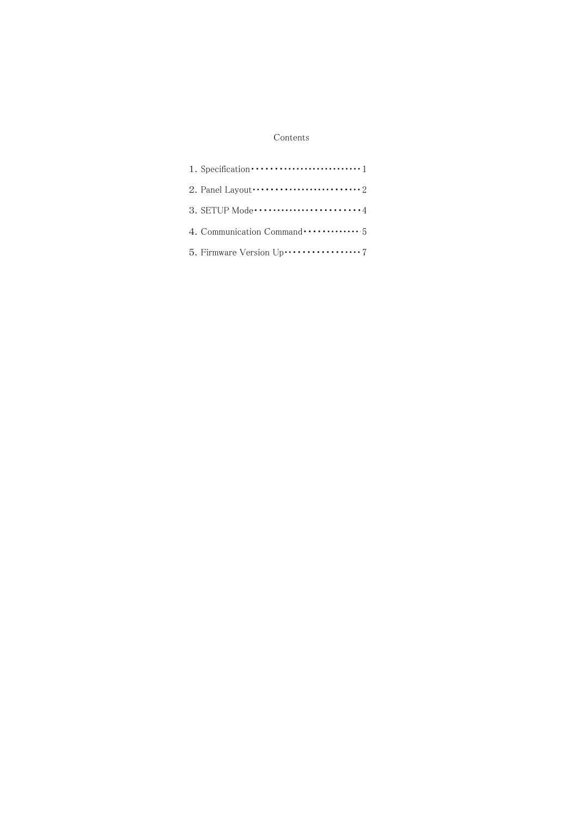### Contents

| 1. Specification $\cdots$ $\cdots$ $\cdots$ $\cdots$ $\cdots$ $\cdots$ $\cdots$ $\cdots$ $\cdots$ $\cdots$                                                                                                                                                                                                                        |
|-----------------------------------------------------------------------------------------------------------------------------------------------------------------------------------------------------------------------------------------------------------------------------------------------------------------------------------|
| 2. Panel Layout $\cdots$ $\cdots$ $\cdots$ $\cdots$ $\cdots$ $\cdots$ $\cdots$ $\cdots$ $\cdots$ $\cdots$ $\cdots$ $\cdots$ $\cdots$ $\cdots$ $\cdots$ $\cdots$ $\cdots$ $\cdots$ $\cdots$ $\cdots$ $\cdots$ $\cdots$ $\cdots$ $\cdots$ $\cdots$ $\cdots$ $\cdots$ $\cdots$ $\cdots$ $\cdots$ $\cdots$ $\cdots$ $\cdots$ $\cdots$ |
|                                                                                                                                                                                                                                                                                                                                   |
| 4. Communication Command  5                                                                                                                                                                                                                                                                                                       |
|                                                                                                                                                                                                                                                                                                                                   |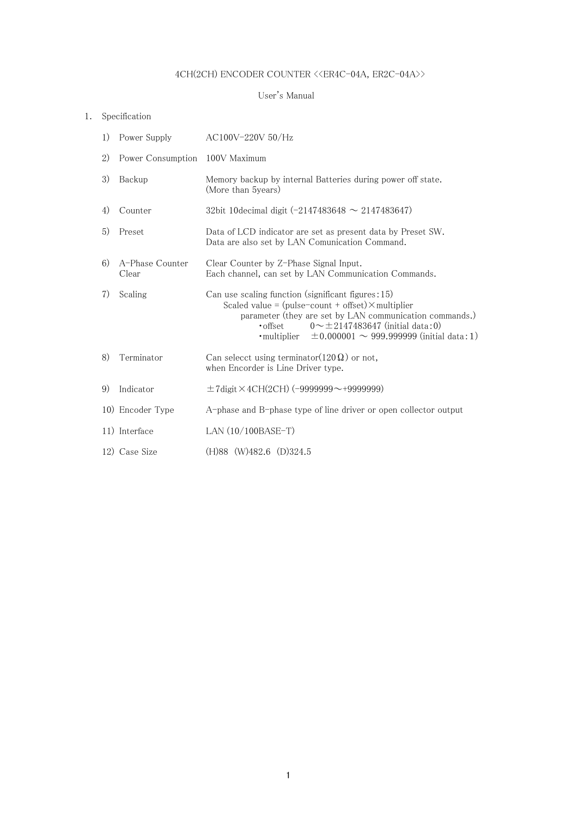# $4\mathrm{CH}(2\mathrm{CH})$  ENCODER COUNTER  $\texttt{<}\texttt{<}$  ER2C-04A>>  $\texttt{<}$

#### User's Manual

## 1. Specification

| 1) | Power Supply                   | AC100V-220V 50/Hz                                                                                                                                                                                                                                                                                     |  |  |
|----|--------------------------------|-------------------------------------------------------------------------------------------------------------------------------------------------------------------------------------------------------------------------------------------------------------------------------------------------------|--|--|
| 2) | Power Consumption 100V Maximum |                                                                                                                                                                                                                                                                                                       |  |  |
| 3) | Backup                         | Memory backup by internal Batteries during power off state.<br>(More than 5years)                                                                                                                                                                                                                     |  |  |
| 4) | Counter                        | 32bit 10decimal digit (-2147483648 $\sim$ 2147483647)                                                                                                                                                                                                                                                 |  |  |
| 5) | Preset                         | Data of LCD indicator are set as present data by Preset SW.<br>Data are also set by LAN Comunication Command.                                                                                                                                                                                         |  |  |
| 6) | A-Phase Counter<br>Clear       | Clear Counter by Z-Phase Signal Input.<br>Each channel, can set by LAN Communication Commands.                                                                                                                                                                                                        |  |  |
| 7) | Scaling                        | Can use scaling function (significant figures: 15)<br>Scaled value = $(pulse$ -count + offset) $\times$ multiplier<br>parameter (they are set by LAN communication commands.)<br>$0 \sim \pm 2147483647$ (initial data:0)<br>• offset<br>•multiplier $\pm 0.000001 \sim 999.999999$ (initial data: 1) |  |  |
| 8) | Terminator                     | Can selecct using terminator( $120\Omega$ ) or not,<br>when Encorder is Line Driver type.                                                                                                                                                                                                             |  |  |
| 9) | Indicator                      | $\pm$ 7 digit $\times$ 4CH(2CH) (-9999999--+99999999)                                                                                                                                                                                                                                                 |  |  |
|    | 10) Encoder Type               | A-phase and B-phase type of line driver or open collector output                                                                                                                                                                                                                                      |  |  |
|    | 11) Interface                  | LAN $(10/100BASE-T)$                                                                                                                                                                                                                                                                                  |  |  |
|    | 12) Case Size                  | (H)88 (W)482.6 (D)324.5                                                                                                                                                                                                                                                                               |  |  |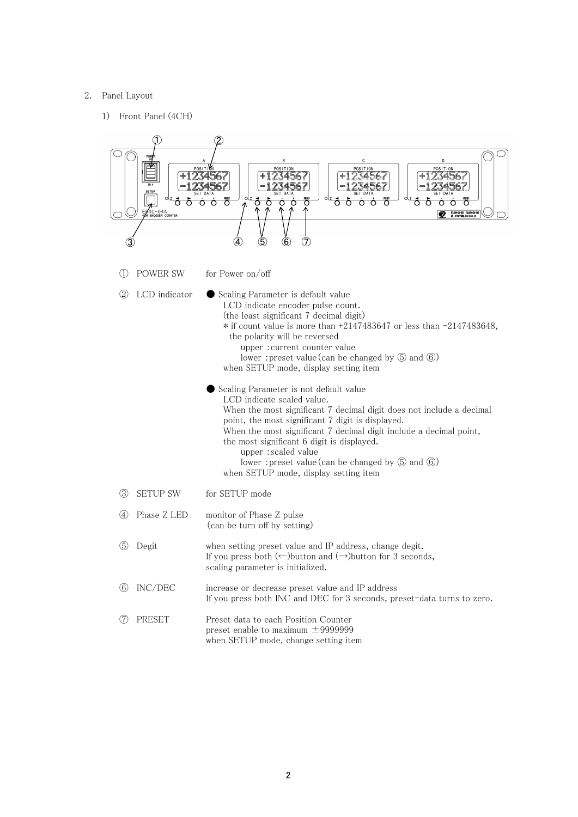#### 2. Panel Layout

1) Front Panel (4CH)

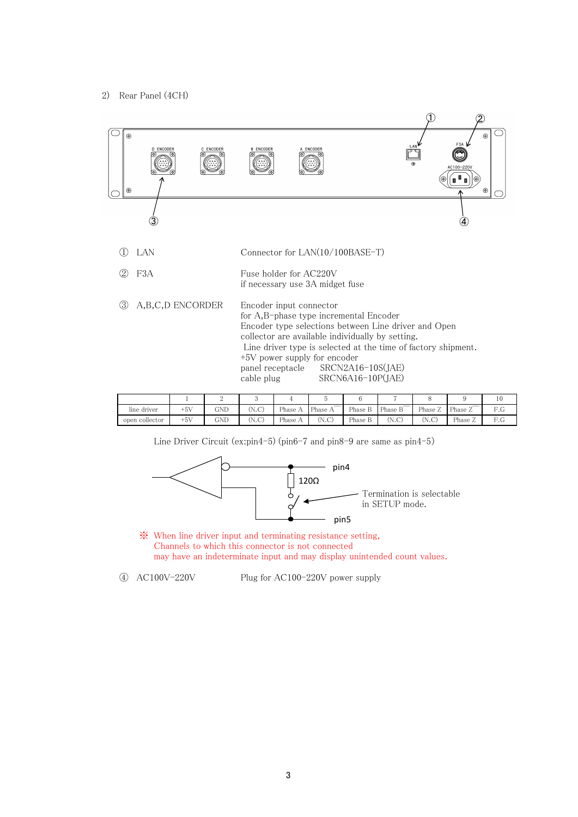#### 2) Rear Panel (4CH)



|                |       |     |       |                |                   |         |                                     |         |                | 10  |
|----------------|-------|-----|-------|----------------|-------------------|---------|-------------------------------------|---------|----------------|-----|
| line driver    | $+5V$ | GND | (N.C) | Phase          | Phase $\lambda$ . | Phase L | $\blacksquare$ Phase $\blacksquare$ | Phase 2 | Phase $\angle$ | F.G |
| open collector | $+5V$ | GND | (N.C) | Phase $\wedge$ | (N.C)             | Phase b | (1.7.7)<br>IN.C.                    | (N.C    | Phase $\sim$   | F.G |

Line Driver Circuit (ex:pin4-5) (pin6-7 and pin8-9 are same as pin4-5)



※ When line driver input and terminating resistance setting, Channels to which this connector is not connected may have an indeterminate input and may display unintended count values.

④ AC100V-220V Plug for AC100-220V power supply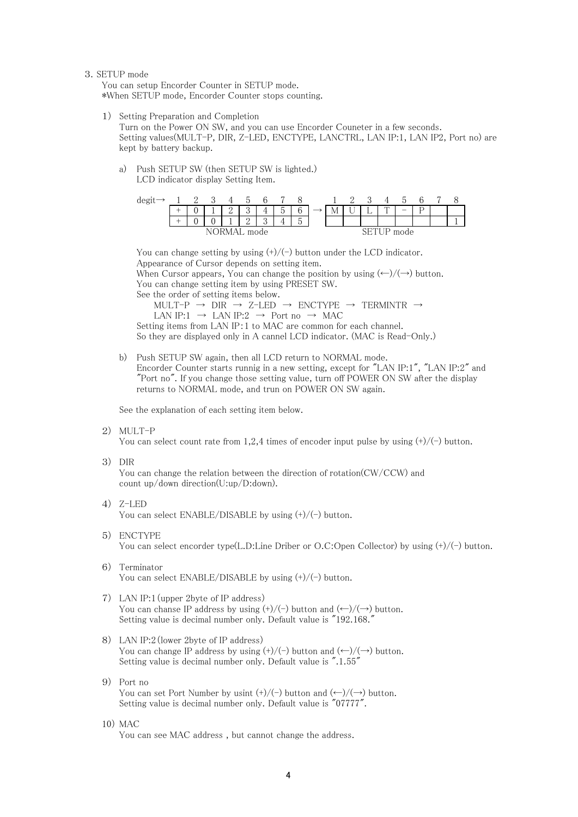#### 3.SETUP mode

You can setup Encorder Counter in SETUP mode. \*When SETUP mode, Encorder Counter stops counting.

1) Setting Preparation and Completion

Turn on the Power ON SW, and you can use Encorder Couneter in a few seconds. Setting values(MULT-P, DIR, Z-LED, ENCTYPE, LANCTRL, LAN IP:1, LAN IP2, Port no) are kept by battery backup.

a) Push SETUP SW (then SETUP SW is lighted.) LCD indicator display Setting Item.



You can change setting by using  $(+)/(-)$  button under the LCD indicator. Appearance of Cursor depends on setting item. When Cursor appears, You can change the position by using  $(\leftarrow)/(\rightarrow)$  button. You can change setting item by using PRESET SW. See the order of setting items below.

MULT-P  $\rightarrow$  DIR  $\rightarrow$  Z-LED  $\rightarrow$  ENCTYPE  $\rightarrow$  TERMINTR  $\rightarrow$ LAN IP:1  $\rightarrow$  LAN IP:2  $\rightarrow$  Port no  $\rightarrow$  MAC

Setting items from LAN IP:1 to MAC are common for each channel. So they are displayed only in A cannel LCD indicator. (MAC is Read-Only.)

b) Push SETUP SW again, then all LCD return to NORMAL mode. Encorder Counter starts runnig in a new setting, except for "LAN IP:1", "LAN IP:2" and "Port no". If you change those setting value, turn off POWER ON SW after the display returns to NORMAL mode, and trun on POWER ON SW again.

See the explanation of each setting item below.

2) MULT-P

You can select count rate from 1,2,4 times of encoder input pulse by using  $(+)/(-)$  button.

3) DIR

You can change the relation between the direction of rotation(CW/CCW) and count up/down direction(U:up/D:down).

4) Z-LED

You can select  $ENABLE/DISABLE$  by using  $(+)/(-)$  button.

- 5) ENCTYPE You can select encorder type(L.D:Line Driber or O.C:Open Collector) by using  $(+)/(-)$  button.
- 6) Terminator You can select  $ENABLE/DISABLE$  by using  $(+)/(-)$  button.
- 7) LAN IP:1(upper 2byte of IP address) You can chanse IP address by using  $(+)/(-)$  button and  $(\leftarrow)/(\rightarrow)$  button. Setting value is decimal number only. Default value is "192.168."
- 8) LAN IP:2(lower 2byte of IP address) You can change IP address by using  $(+)/(-)$  button and  $(\leftarrow)/(\rightarrow)$  button. Setting value is decimal number only. Default value is ".1.55"
- 9) Port no You can set Port Number by usint  $(+)/(-)$  button and  $(\leftarrow)/(\rightarrow)$  button. Setting value is decimal number only. Default value is "07777".

## 10) MAC

You can see MAC address , but cannot change the address.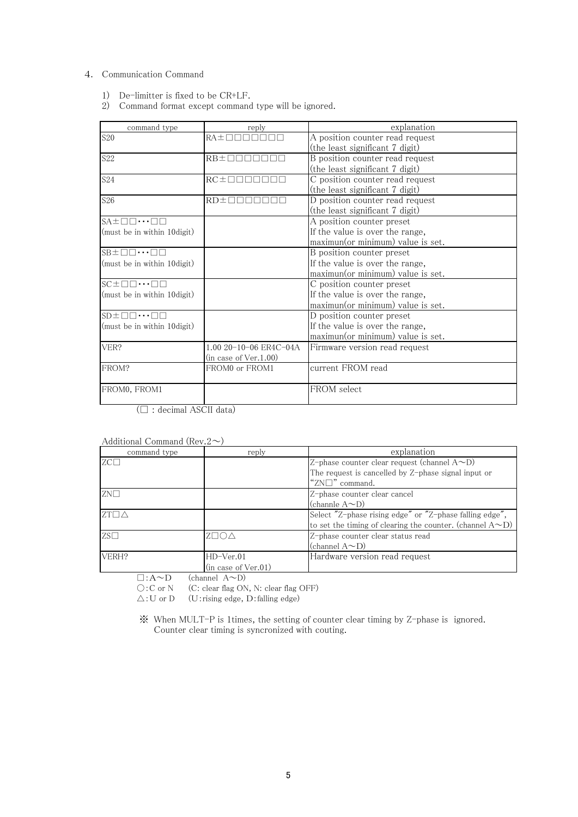### 4. Communication Command

- 1) De-limitter is fixed to be CR+LF.
- 2) Command format except command type will be ignored.

| command type                                    | reply                                                    | explanation                            |
|-------------------------------------------------|----------------------------------------------------------|----------------------------------------|
| S <sub>20</sub>                                 | $RA \pm \square \square \square$                         | A position counter read request        |
|                                                 |                                                          | (the least significant 7 digit)        |
| S <sub>22</sub>                                 | $RB\pm \Box \Box$                                        | B position counter read request        |
|                                                 |                                                          | (the least significant 7 digit)        |
| <b>S24</b>                                      | $RC\pm$ $\Box$ $\Box$ $\Box$ $\Box$ $\Box$ $\Box$ $\Box$ | C position counter read request        |
|                                                 |                                                          | (the least significant 7 digit)        |
| S <sub>26</sub>                                 | RD±⊟⊟                                                    | D position counter read request        |
|                                                 |                                                          | (the least significant 7 digit)        |
| $SA \pm \Box \Box \cdots \Box \Box$             |                                                          | $\overline{A}$ position counter preset |
| (must be in within 10 digit)                    |                                                          | If the value is over the range,        |
|                                                 |                                                          | maximun(or minimum) value is set.      |
| $SB \pm \Box \Box \cdots \Box \Box$             |                                                          | B position counter preset              |
| (must be in within 10 digit)                    |                                                          | If the value is over the range,        |
|                                                 |                                                          | maximun(or minimum) value is set.      |
| $SC \pm \square \square \cdots \square \square$ |                                                          | C position counter preset              |
| (must be in within 10 digit)                    |                                                          | If the value is over the range,        |
|                                                 |                                                          | maximun(or minimum) value is set.      |
| $SD \pm \Box \Box \cdots \Box \Box$             |                                                          | D position counter preset              |
| (must be in within 10 digit)                    |                                                          | If the value is over the range,        |
|                                                 |                                                          | maximun(or minimum) value is set.      |
| VER?                                            | 1.00 20-10-06 ER4C-04A                                   | Firmware version read request          |
|                                                 | (in case of Ver.1.00)                                    |                                        |
| FROM?                                           | FROM0 or FROM1                                           | current FROM read                      |
| FROM0, FROM1                                    |                                                          | FROM select                            |
|                                                 |                                                          |                                        |

(□ : decimal ASCII data)

| Additional Command (Rev. $2\sim$ ) |  |
|------------------------------------|--|

| command type         | reply               | explanation                                                      |
|----------------------|---------------------|------------------------------------------------------------------|
| $ZC\Box$             |                     | Z-phase counter clear request (channel A~D)                      |
|                      |                     | The request is cancelled by Z-phase signal input or              |
|                      |                     | "ZN□" command.                                                   |
| $ZN\square$          |                     | Z-phase counter clear cancel                                     |
|                      |                     | (channle $A \sim D$ )                                            |
| $ZT\square\triangle$ |                     | Select "Z-phase rising edge" or "Z-phase falling edge",          |
|                      |                     | to set the timing of clearing the counter. (channel $A \sim D$ ) |
| $ZS\Box$             | Z□O∆                | Z-phase counter clear status read                                |
|                      |                     | $(\text{channel } A \sim D)$                                     |
| VERH?                | $HD-Ver.01$         | Hardware version read request                                    |
|                      | (in case of Ver.01) |                                                                  |

 $\square: A \sim D$  (channel  $A \sim D$ )

○:C or N (C: clear flag ON, N: clear flag OFF)

 $\triangle$ : U or D (U: rising edge, D: falling edge)

※ When MULT-P is 1times, the setting of counter clear timing by Z-phase is ignored. Counter clear timing is syncronized with couting.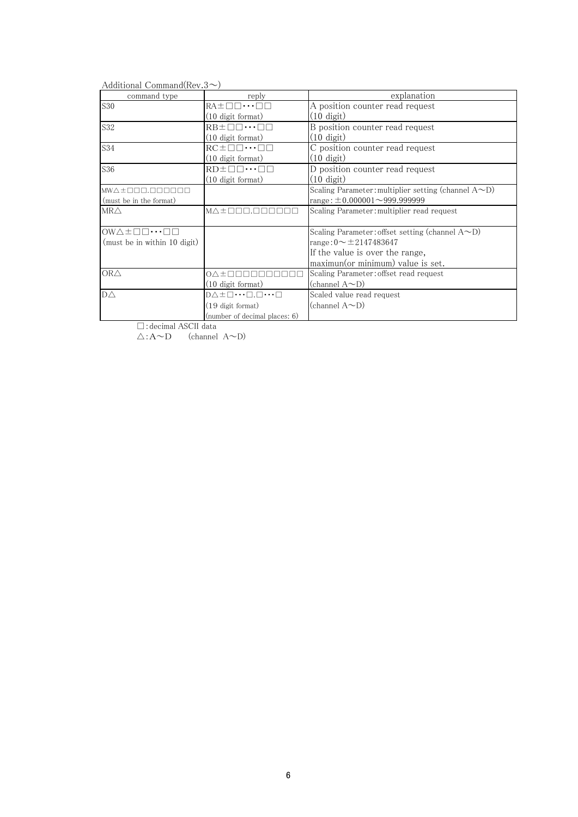Additional Command(Rev.3 $\sim$ )

| command type                                             | reply                                                             | explanation                                                |
|----------------------------------------------------------|-------------------------------------------------------------------|------------------------------------------------------------|
| <b>S30</b>                                               | $RA \pm \Box \Box \cdots \Box \Box$                               | A position counter read request                            |
|                                                          | (10 digit format)                                                 | $(10 \text{ digit})$                                       |
| S32                                                      | $RB\pm\square\square\cdots\square\square$                         | B position counter read request                            |
|                                                          | $(10 \text{ digit format})$                                       | $(10 \text{ digit})$                                       |
| S34                                                      | $RC \pm \square \square \cdots \square \square$                   | C position counter read request                            |
|                                                          | (10 digit format)                                                 | $(10 \text{ digit})$                                       |
| S36                                                      | $RD \pm \Box \Box \cdots \Box \Box$                               | D position counter read request                            |
|                                                          | $(10 \text{ digit format})$                                       | $(10 \text{ digit})$                                       |
| $MW \wedge \pm$<br>ПN                                    |                                                                   | Scaling Parameter: multiplier setting (channel $A\sim D$ ) |
| (must be in the format)                                  |                                                                   | range: $\pm 0.000001 \sim 999.9999999$                     |
| MR $\triangle$                                           | $M \triangle \pm \square \square \square$ .                       | Scaling Parameter: multiplier read request                 |
|                                                          |                                                                   |                                                            |
| $OW\triangle \pm \square \square \cdots \square \square$ |                                                                   | Scaling Parameter: offset setting (channel $A\sim D$ )     |
| (must be in within 10 digit)                             |                                                                   | range: $0 \sim \pm 2147483647$                             |
|                                                          |                                                                   | If the value is over the range,                            |
|                                                          |                                                                   | maximun(or minimum) value is set.                          |
| OR <sub>Δ</sub>                                          | 0∧±⊓⊓⊓⊓⊓                                                          | Scaling Parameter: offset read request                     |
|                                                          | $(10 \text{ digit format})$                                       | (channel $A\infty D$ )                                     |
| $D\triangle$                                             | $D \triangle \pm \square \cdots \square . \square \cdots \square$ | Scaled value read request                                  |
|                                                          | (19 digit format)                                                 | (channel A $\sim$ D)                                       |
|                                                          | (number of decimal places: 6)                                     |                                                            |

□:decimal ASCII data

 $\overline{\triangle}$ :A~D (channel A~D)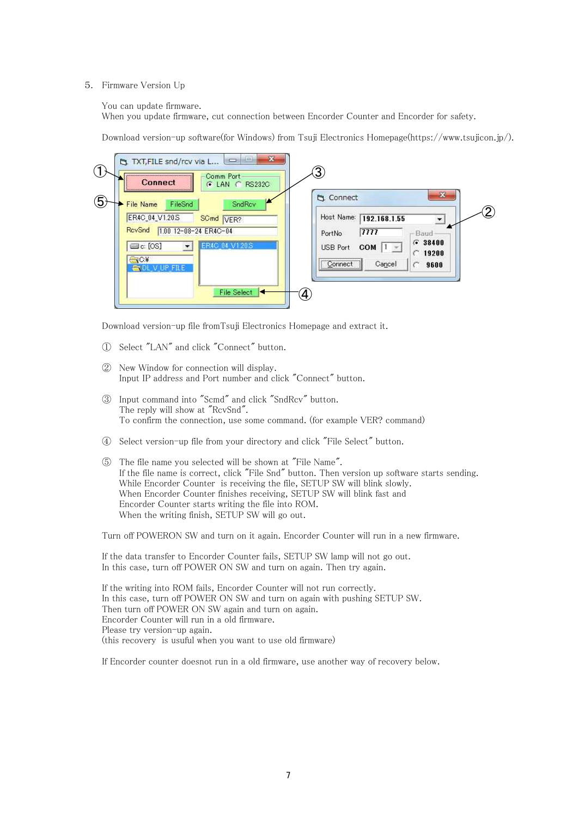#### 5. Firmware Version Up

You can update firmware.

When you update firmware, cut connection between Encorder Counter and Encorder for safety.

Download version-up software(for Windows) from Tsuji Electronics Homepage(https://www.tsujicon.jp/).

| $\left(1\right)$ | $\mathbf{x}$<br>101<br><b>NICES</b><br>TXT, FILE snd/rcv via L | 3)                                                              |
|------------------|----------------------------------------------------------------|-----------------------------------------------------------------|
|                  | Comm Port<br>Connect<br>G LAN C RS232C                         |                                                                 |
| 5                | SndRov<br><b>File Name</b><br>FileSnd                          | $\mathbf{x}$<br><b>La</b> Connect                               |
|                  | ER4C_04_V1.20S<br>SCmd VER?                                    | $\left( 2\right)$<br>Host Name: 192.168.1.55                    |
|                  | RovSnd<br>1.00 12-08-24 ER4C-04                                | 7777<br>PortNo<br>Baud                                          |
|                  | R4C 04 V1.20S<br>$\equiv$ c: [OS]                              | $G = 38400$<br><b>USB Port</b><br>COM  <br>$1 - 4$<br>$C$ 19200 |
|                  | $\bigcirc$ C.¥<br>' FILE                                       | Connect <sup>1</sup><br>Cancel<br>9600<br>                      |
|                  |                                                                |                                                                 |
|                  | <b>File Select</b>                                             | 4                                                               |
|                  |                                                                |                                                                 |

Download version-up file fromTsuji Electronics Homepage and extract it.

- ① Select "LAN" and click "Connect" button.
- ② New Window for connection will display. Input IP address and Port number and click "Connect" button.
- ③ Input command into "Scmd" and click "SndRcv" button. The reply will show at "RcvSnd". To confirm the connection, use some command. (for example VER? command)
- ④ Select version-up file from your directory and click "File Select" button.
- ⑤ The file name you selected will be shown at "File Name". If the file name is correct, click "File Snd" button. Then version up software starts sending. While Encorder Counter is receiving the file, SETUP SW will blink slowly. When Encorder Counter finishes receiving, SETUP SW will blink fast and Encorder Counter starts writing the file into ROM. When the writing finish, SETUP SW will go out.

Turn off POWERON SW and turn on it again. Encorder Counter will run in a new firmware.

If the data transfer to Encorder Counter fails, SETUP SW lamp will not go out. In this case, turn off POWER ON SW and turn on again. Then try again.

If the writing into ROM fails, Encorder Counter will not run correctly. In this case, turn off POWER ON SW and turn on again with pushing SETUP SW. Then turn off POWER ON SW again and turn on again. Encorder Counter will run in a old firmware. Please try version-up again. (this recovery is usuful when you want to use old firmware)

If Encorder counter doesnot run in a old firmware, use another way of recovery below.